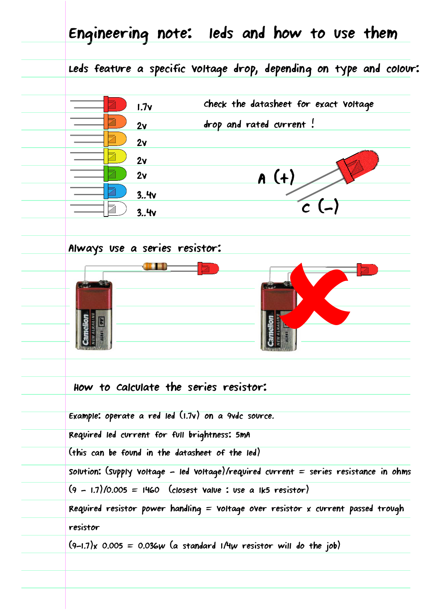|                                                                                       |      | Leds feature a specific voltage drop, depending on type and colour: |                                       |      |                           |  |
|---------------------------------------------------------------------------------------|------|---------------------------------------------------------------------|---------------------------------------|------|---------------------------|--|
|                                                                                       | 1.7v |                                                                     | check the datasheet for exact voltage |      |                           |  |
|                                                                                       | 2v   |                                                                     | drop and rated current!               |      |                           |  |
|                                                                                       | 2v   |                                                                     |                                       |      |                           |  |
|                                                                                       | 2v   |                                                                     |                                       |      |                           |  |
|                                                                                       | 2v   |                                                                     |                                       | A(f) |                           |  |
|                                                                                       | 3.4v |                                                                     |                                       |      | $\mathcal{L}(\mathbf{I})$ |  |
|                                                                                       | 3.4v |                                                                     |                                       |      |                           |  |
| Always use a series resistor:                                                         |      |                                                                     |                                       |      |                           |  |
|                                                                                       |      |                                                                     |                                       |      |                           |  |
|                                                                                       |      |                                                                     |                                       |      |                           |  |
|                                                                                       |      |                                                                     |                                       |      |                           |  |
|                                                                                       |      |                                                                     |                                       |      |                           |  |
|                                                                                       |      |                                                                     |                                       |      |                           |  |
|                                                                                       |      |                                                                     |                                       |      |                           |  |
| How to calculate the series resistor:                                                 |      |                                                                     |                                       |      |                           |  |
|                                                                                       |      |                                                                     |                                       |      |                           |  |
| Example: operate a red led (1.7v) on a 9vdc source.                                   |      |                                                                     |                                       |      |                           |  |
| Required led current for full brightness: 5mA                                         |      |                                                                     |                                       |      |                           |  |
| (this can be found in the datasheet of the led)                                       |      |                                                                     |                                       |      |                           |  |
| Solution: (Supply voltage - led voltage)/required current = series resistance in ohms |      |                                                                     |                                       |      |                           |  |
| $(9 - 1.7)/0.005 = 1460$ (closest value: use a Ik5 resistor)                          |      |                                                                     |                                       |      |                           |  |
| Required resistor power handling = voltage over resistor x current passed trough      |      |                                                                     |                                       |      |                           |  |
|                                                                                       |      |                                                                     |                                       |      |                           |  |
| resistor                                                                              |      |                                                                     |                                       |      |                           |  |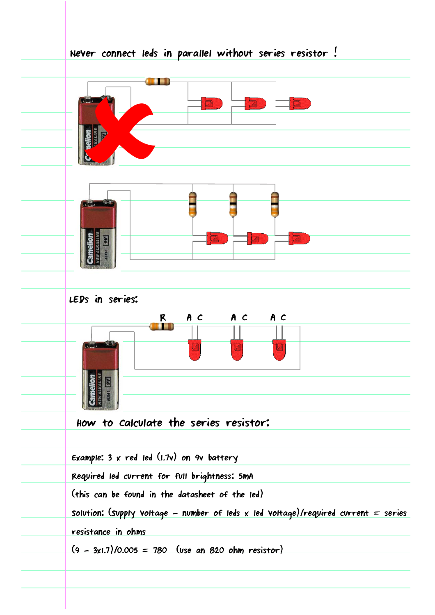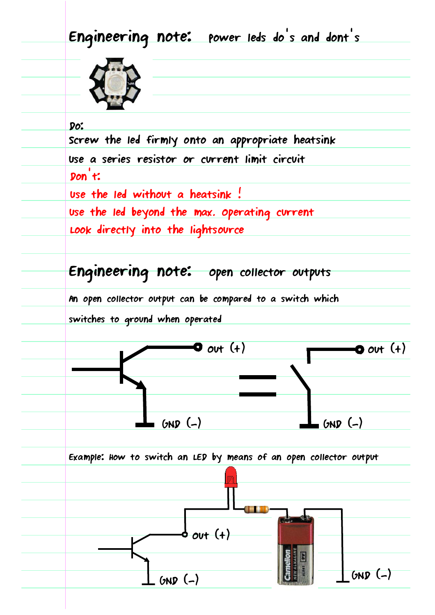